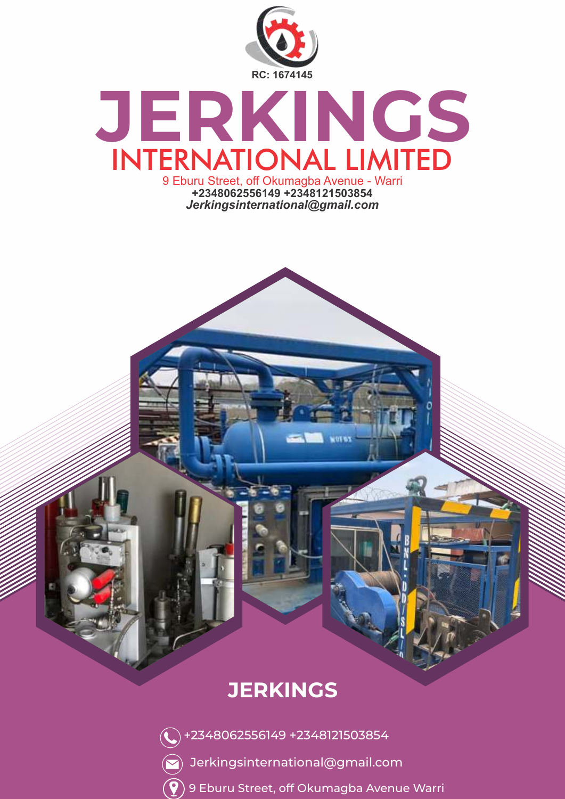

### **JERKINGS** INTERNATIONAL LIMITED 9 Eburu Street, off Okumagba Avenue - Warri **+2348062556149 +2348121503854**

*Jerkingsinternational@gmail.com*

### **JERKINGS**

- +2348062556149 +2348121503854
- $\left(\bigtriangledown\right)$  Jerkingsinternational@gmail.com
- $(\widehat{\blacklozenge})$  9 Eburu Street, off Okumagba Avenue Warri

**WOTES**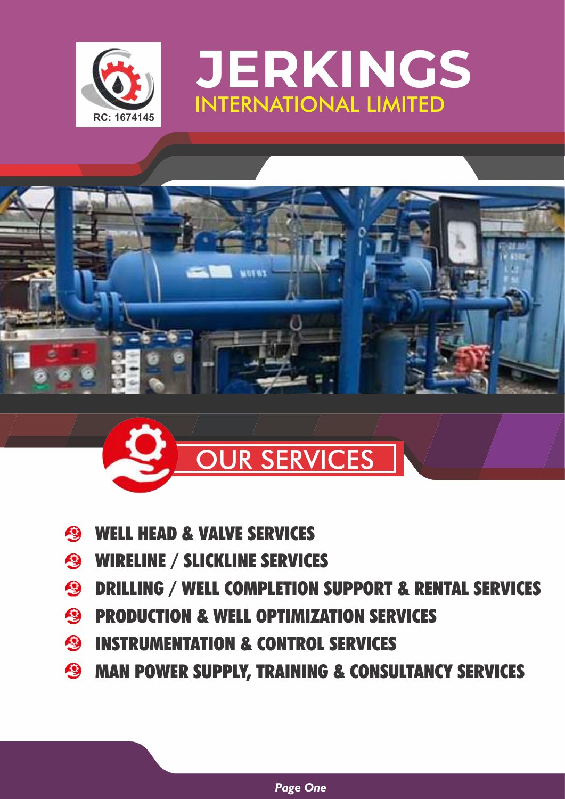







- WELL HEAD & VALVE SERVICES **A**
- **S** WIRELINE / SLICKLINE SERVICES
- **S** DRILLING / WELL COMPLETION SUPPORT & RENTAL SERVICES
- **S** PRODUCTION & WELL OPTIMIZATION SERVICES
- **<sup>3</sup>** INSTRUMENTATION & CONTROL SERVICES
- **S** MAN POWER SUPPLY, TRAINING & CONSULTANCY SERVICES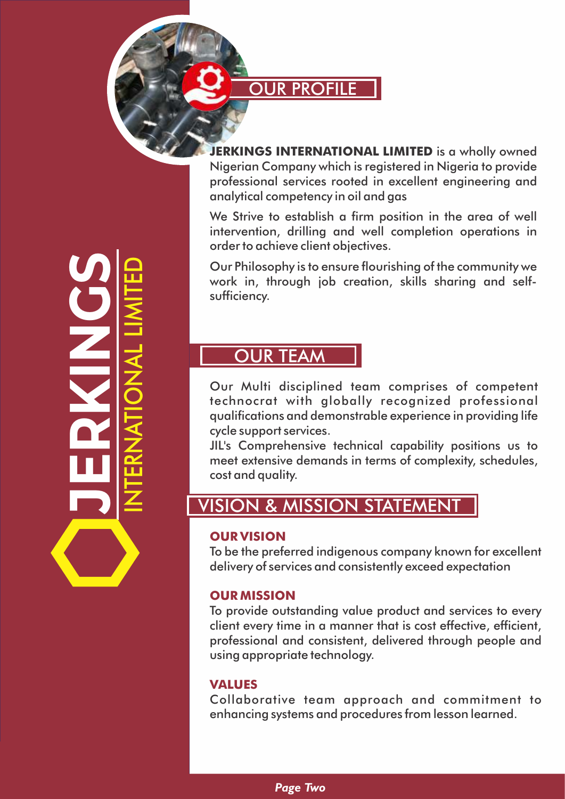**OUR PROFILE** 

**ERKINGS INTERNATIONAL LIMITED** is a wholly owned Nigerian Company which is registered in Nigeria to provide professional services rooted in excellent engineering and

analytical competency in oil and gas We Strive to establish a firm position in the area of well intervention, drilling and well completion operations in order to achieve client objectives.

Our Philosophy is to ensure flourishing of the community we work in, through job creation, skills sharing and selfsufficiency.

#### OUR TEAM

Our Multi disciplined team comprises of competent technocrat with globally recognized professional qualifications and demonstrable experience in providing life cycle support services.

JIL's Comprehensive technical capability positions us to meet extensive demands in terms of complexity, schedules, cost and quality.

#### VISION & MISSION STATEMENT

#### **OUR VISION**

To be the preferred indigenous company known for excellent delivery of services and consistently exceed expectation

#### **OUR MISSION**

To provide outstanding value product and services to every client every time in a manner that is cost effective, efficient, professional and consistent, delivered through people and using appropriate technology.

#### **VALUES**

Collaborative team approach and commitment to enhancing systems and procedures from lesson learned.

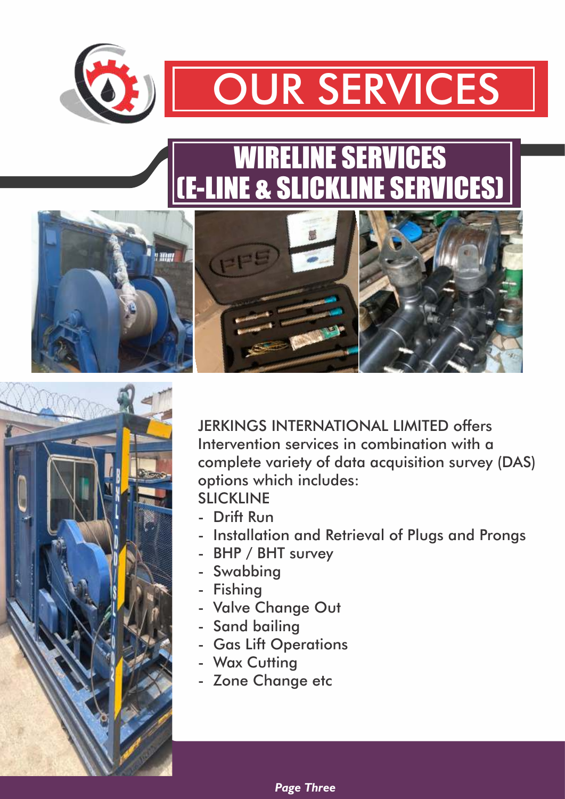

# **SERVICES**

## WIRELINE SERVICES (E-LINE & SLICKLINE SERVICES)







JERKINGS INTERNATIONAL LIMITED offers Intervention services in combination with a complete variety of data acquisition survey (DAS) options which includes:

SLICKLINE

- Drift Run
- Installation and Retrieval of Plugs and Prongs
- BHP / BHT survey
- Swabbing
- Fishing
- Valve Change Out
- Sand bailing
- Gas Lift Operations
- Wax Cutting
- Zone Change etc

*Page Three*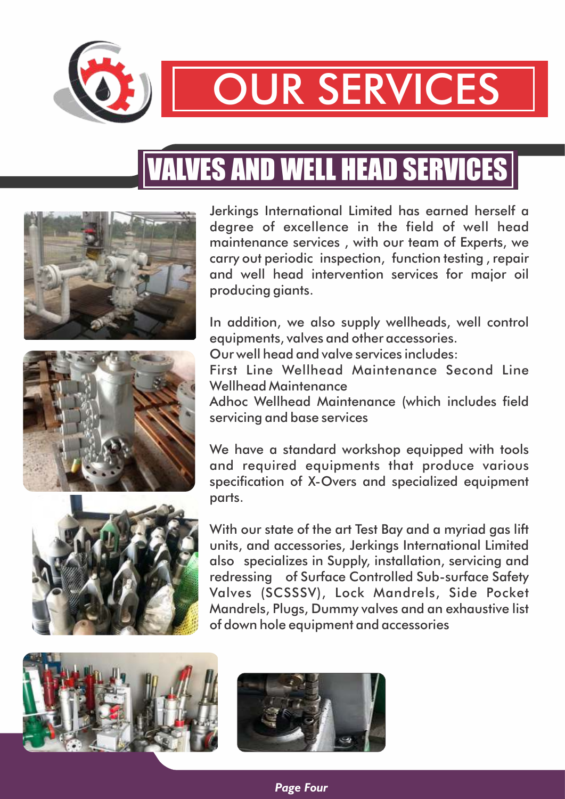

# OUR SERVICES

# VALVES AND WELL HEAD SERVICES







Jerkings International Limited has earned herself a degree of excellence in the field of well head maintenance services , with our team of Experts, we carry out periodic inspection, function testing , repair and well head intervention services for major oil producing giants.

In addition, we also supply wellheads, well control equipments, valves and other accessories.

Our well head and valve services includes:

First Line Wellhead Maintenance Second Line Wellhead Maintenance

Adhoc Wellhead Maintenance (which includes field servicing and base services

We have a standard workshop equipped with tools and required equipments that produce various specification of X-Overs and specialized equipment parts.

With our state of the art Test Bay and a myriad gas lift units, and accessories, Jerkings International Limited also specializes in Supply, installation, servicing and redressing of Surface Controlled Sub-surface Safety Valves (SCSSSV), Lock Mandrels, Side Pocket Mandrels, Plugs, Dummy valves and an exhaustive list of down hole equipment and accessories





*Page Four*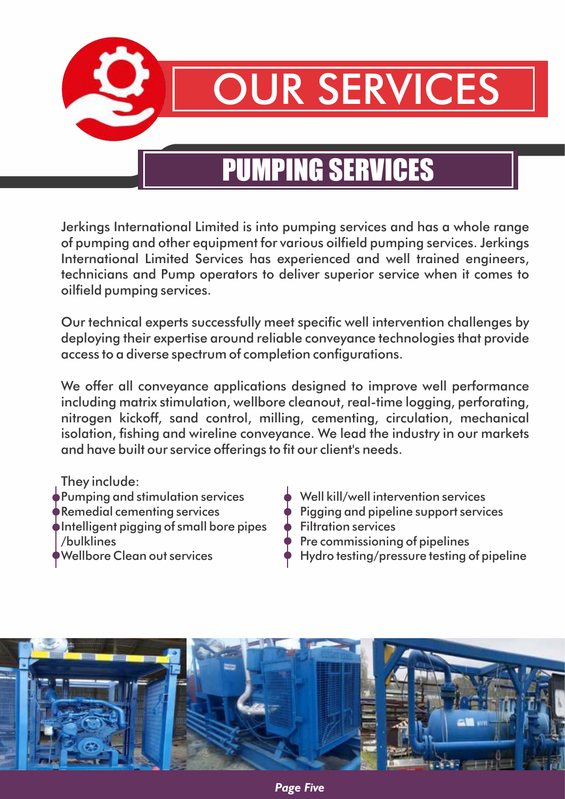

## PUMPING SERVICES

Jerkings International Limited is into pumping services and has a whole range of pumping and other equipment for various oilfield pumping services. Jerkings International Limited Services has experienced and well trained engineers, technicians and Pump operators to deliver superior service when it comes to oilfield pumping services.

Our technical experts successfully meet specific well intervention challenges by deploying their expertise around reliable conveyance technologies that provide access to a diverse spectrum of completion configurations.

We offer all conveyance applications designed to improve well performance including matrix stimulation, wellbore cleanout, real-time logging, perforating, nitrogen kickoff, sand control, milling, cementing, circulation, mechanical isolation, fishing and wireline conveyance. We lead the industry in our markets and have built our service offerings to fit our client's needs.

- They include:
- Pumping and stimulation services  $\qquad \qquad \bullet \quad$  Well kill/well intervention services Intelligent pigging of small bore pipes  $\quad \blacklozenge$  Filtration services  $\rightarrow$  Pre commissioning of pipelines
- 
- Remedial cementing services  $\rho$  Pigging and pipeline support services
	-
	-
- Wellbore Clean out services  $\qquad \qquad \qquad \qquad$  Hydro testing/pressure testing of pipeline

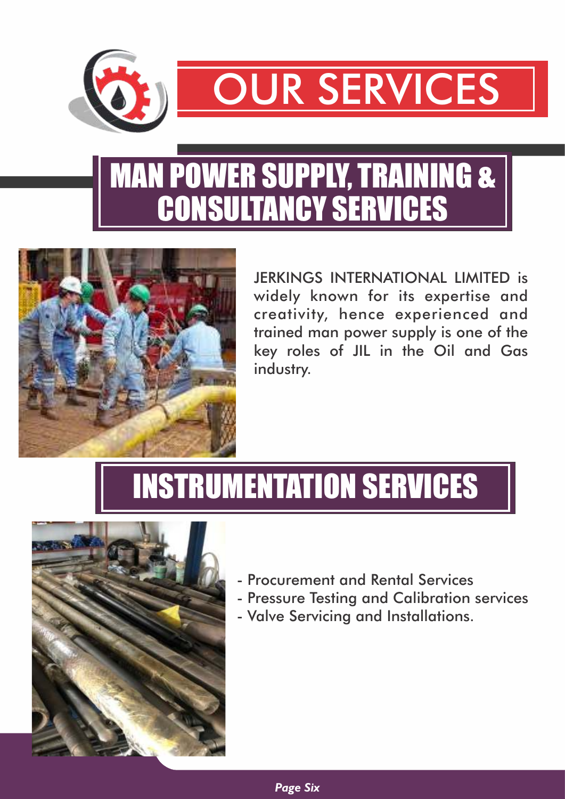

# MAN POWER SUPPLY, TRAINING & CONSULTANCY SERVICES



JERKINGS INTERNATIONAL LIMITED is widely known for its expertise and creativity, hence experienced and trained man power supply is one of the key roles of JIL in the Oil and Gas industry.

# INSTRUMENTATION SERVICES



- Procurement and Rental Services
- Pressure Testing and Calibration services
- Valve Servicing and Installations.